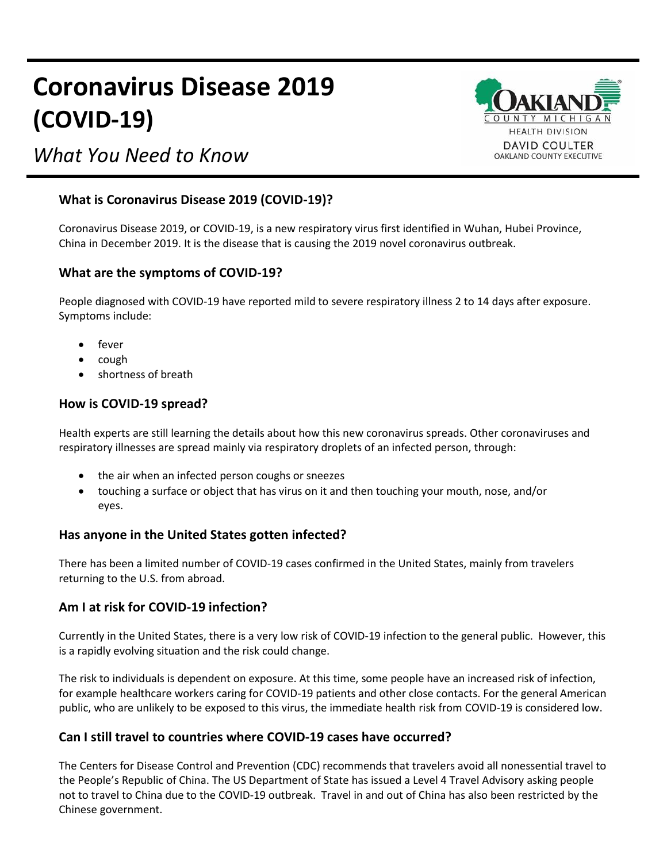# **Coronavirus Disease 2019 (COVID-19)**

## *What You Need to Know*



#### **What is Coronavirus Disease 2019 (COVID-19)?**

Coronavirus Disease 2019, or COVID-19, is a new respiratory virus first identified in Wuhan, Hubei Province, China in December 2019. It is the disease that is causing the 2019 novel coronavirus outbreak.

#### **What are the symptoms of COVID-19?**

People diagnosed with COVID-19 have reported mild to severe respiratory illness 2 to 14 days after exposure. Symptoms include:

- fever
- cough
- shortness of breath

#### **How is COVID-19 spread?**

Health experts are still learning the details about how this new coronavirus spreads. Other coronaviruses and respiratory illnesses are spread mainly via respiratory droplets of an infected person, through:

- the air when an infected person coughs or sneezes
- touching a surface or object that has virus on it and then touching your mouth, nose, and/or eyes.

#### **Has anyone in the United States gotten infected?**

There has been a limited number of COVID-19 cases confirmed in the United States, mainly from travelers returning to the U.S. from abroad.

#### **Am I at risk for COVID-19 infection?**

Currently in the United States, there is a very low risk of COVID-19 infection to the general public. However, this is a rapidly evolving situation and the risk could change.

The risk to individuals is dependent on exposure. At this time, some people have an increased risk of infection, for example healthcare workers caring for COVID-19 patients and other close contacts. For the general American public, who are unlikely to be exposed to this virus, the immediate health risk from COVID-19 is considered low.

#### **Can I still travel to countries where COVID-19 cases have occurred?**

The Centers for Disease Control and Prevention (CDC) recommends that travelers avoid all nonessential travel to the People's Republic of China. The US Department of State has issued a Level 4 Travel Advisory asking people not to travel to China due to the COVID-19 outbreak. Travel in and out of China has also been restricted by the Chinese government.